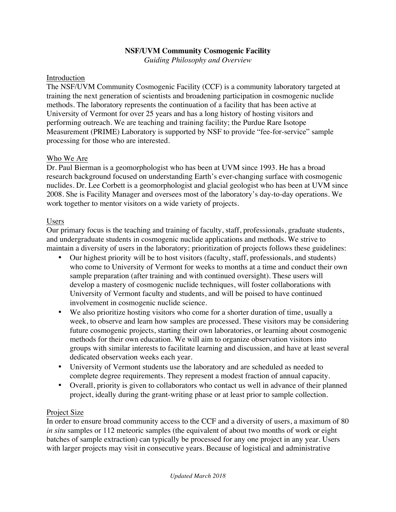## **NSF/UVM Community Cosmogenic Facility**

*Guiding Philosophy and Overview*

#### Introduction

The NSF/UVM Community Cosmogenic Facility (CCF) is a community laboratory targeted at training the next generation of scientists and broadening participation in cosmogenic nuclide methods. The laboratory represents the continuation of a facility that has been active at University of Vermont for over 25 years and has a long history of hosting visitors and performing outreach. We are teaching and training facility; the Purdue Rare Isotope Measurement (PRIME) Laboratory is supported by NSF to provide "fee-for-service" sample processing for those who are interested.

## Who We Are

Dr. Paul Bierman is a geomorphologist who has been at UVM since 1993. He has a broad research background focused on understanding Earth's ever-changing surface with cosmogenic nuclides. Dr. Lee Corbett is a geomorphologist and glacial geologist who has been at UVM since 2008. She is Facility Manager and oversees most of the laboratory's day-to-day operations. We work together to mentor visitors on a wide variety of projects.

## Users

Our primary focus is the teaching and training of faculty, staff, professionals, graduate students, and undergraduate students in cosmogenic nuclide applications and methods. We strive to maintain a diversity of users in the laboratory; prioritization of projects follows these guidelines:

- Our highest priority will be to host visitors (faculty, staff, professionals, and students) who come to University of Vermont for weeks to months at a time and conduct their own sample preparation (after training and with continued oversight). These users will develop a mastery of cosmogenic nuclide techniques, will foster collaborations with University of Vermont faculty and students, and will be poised to have continued involvement in cosmogenic nuclide science.
- We also prioritize hosting visitors who come for a shorter duration of time, usually a week, to observe and learn how samples are processed. These visitors may be considering future cosmogenic projects, starting their own laboratories, or learning about cosmogenic methods for their own education. We will aim to organize observation visitors into groups with similar interests to facilitate learning and discussion, and have at least several dedicated observation weeks each year.
- University of Vermont students use the laboratory and are scheduled as needed to complete degree requirements. They represent a modest fraction of annual capacity.
- Overall, priority is given to collaborators who contact us well in advance of their planned project, ideally during the grant-writing phase or at least prior to sample collection.

## Project Size

In order to ensure broad community access to the CCF and a diversity of users, a maximum of 80 *in situ* samples or 112 meteoric samples (the equivalent of about two months of work or eight batches of sample extraction) can typically be processed for any one project in any year. Users with larger projects may visit in consecutive years. Because of logistical and administrative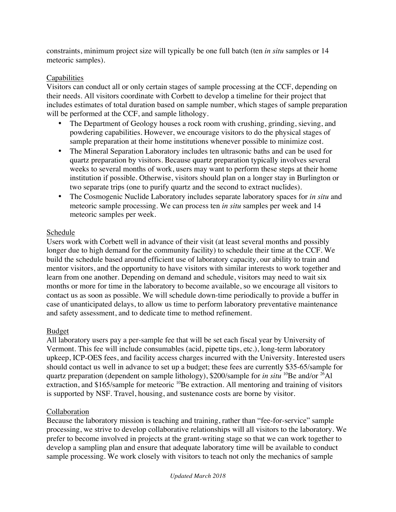constraints, minimum project size will typically be one full batch (ten *in situ* samples or 14 meteoric samples).

# **Capabilities**

Visitors can conduct all or only certain stages of sample processing at the CCF, depending on their needs. All visitors coordinate with Corbett to develop a timeline for their project that includes estimates of total duration based on sample number, which stages of sample preparation will be performed at the CCF, and sample lithology.

- The Department of Geology houses a rock room with crushing, grinding, sieving, and powdering capabilities. However, we encourage visitors to do the physical stages of sample preparation at their home institutions whenever possible to minimize cost.
- The Mineral Separation Laboratory includes ten ultrasonic baths and can be used for quartz preparation by visitors. Because quartz preparation typically involves several weeks to several months of work, users may want to perform these steps at their home institution if possible. Otherwise, visitors should plan on a longer stay in Burlington or two separate trips (one to purify quartz and the second to extract nuclides).
- The Cosmogenic Nuclide Laboratory includes separate laboratory spaces for *in situ* and meteoric sample processing. We can process ten *in situ* samples per week and 14 meteoric samples per week.

## Schedule

Users work with Corbett well in advance of their visit (at least several months and possibly longer due to high demand for the community facility) to schedule their time at the CCF. We build the schedule based around efficient use of laboratory capacity, our ability to train and mentor visitors, and the opportunity to have visitors with similar interests to work together and learn from one another. Depending on demand and schedule, visitors may need to wait six months or more for time in the laboratory to become available, so we encourage all visitors to contact us as soon as possible. We will schedule down-time periodically to provide a buffer in case of unanticipated delays, to allow us time to perform laboratory preventative maintenance and safety assessment, and to dedicate time to method refinement.

## Budget

All laboratory users pay a per-sample fee that will be set each fiscal year by University of Vermont. This fee will include consumables (acid, pipette tips, etc.), long-term laboratory upkeep, ICP-OES fees, and facility access charges incurred with the University. Interested users should contact us well in advance to set up a budget; these fees are currently \$35-65/sample for quartz preparation (dependent on sample lithology), \$200/sample for *in situ* <sup>10</sup>Be and/or <sup>26</sup>Al extraction, and \$165/sample for meteoric <sup>10</sup>Be extraction. All mentoring and training of visitors is supported by NSF. Travel, housing, and sustenance costs are borne by visitor.

## Collaboration

Because the laboratory mission is teaching and training, rather than "fee-for-service" sample processing, we strive to develop collaborative relationships will all visitors to the laboratory. We prefer to become involved in projects at the grant-writing stage so that we can work together to develop a sampling plan and ensure that adequate laboratory time will be available to conduct sample processing. We work closely with visitors to teach not only the mechanics of sample